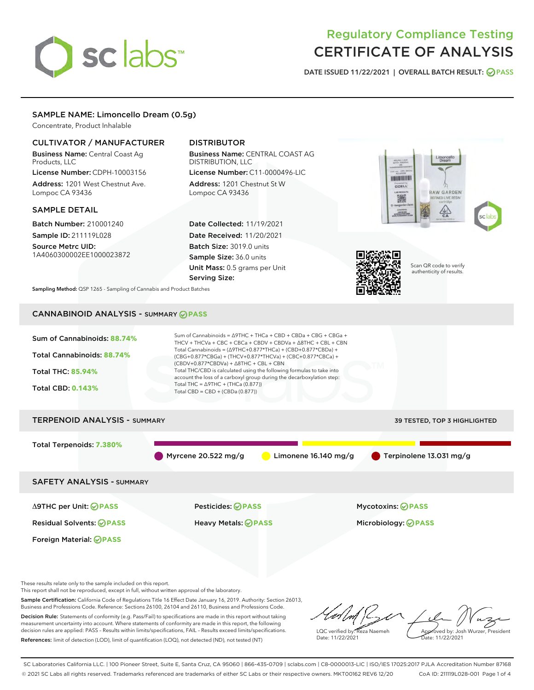# sclabs<sup>\*</sup>

# Regulatory Compliance Testing CERTIFICATE OF ANALYSIS

DATE ISSUED 11/22/2021 | OVERALL BATCH RESULT: @ PASS

# SAMPLE NAME: Limoncello Dream (0.5g)

Concentrate, Product Inhalable

### CULTIVATOR / MANUFACTURER

Business Name: Central Coast Ag Products, LLC

License Number: CDPH-10003156 Address: 1201 West Chestnut Ave. Lompoc CA 93436

#### SAMPLE DETAIL

Batch Number: 210001240 Sample ID: 211119L028

Source Metrc UID: 1A4060300002EE1000023872

# DISTRIBUTOR

Business Name: CENTRAL COAST AG DISTRIBUTION, LLC License Number: C11-0000496-LIC

Address: 1201 Chestnut St W Lompoc CA 93436

Date Collected: 11/19/2021 Date Received: 11/20/2021 Batch Size: 3019.0 units Sample Size: 36.0 units Unit Mass: 0.5 grams per Unit Serving Size:





Scan QR code to verify authenticity of results.

Sampling Method: QSP 1265 - Sampling of Cannabis and Product Batches

# CANNABINOID ANALYSIS - SUMMARY **PASS**



These results relate only to the sample included on this report.

Foreign Material: **PASS**

This report shall not be reproduced, except in full, without written approval of the laboratory.

Sample Certification: California Code of Regulations Title 16 Effect Date January 16, 2019. Authority: Section 26013, Business and Professions Code. Reference: Sections 26100, 26104 and 26110, Business and Professions Code. Decision Rule: Statements of conformity (e.g. Pass/Fail) to specifications are made in this report without taking

measurement uncertainty into account. Where statements of conformity are made in this report, the following decision rules are applied: PASS – Results within limits/specifications, FAIL – Results exceed limits/specifications. References: limit of detection (LOD), limit of quantification (LOQ), not detected (ND), not tested (NT)

LQC verified by: Reza Naemeh Date: 11/22/2021 Approved by: Josh Wurzer, President Date: 11/22/2021

SC Laboratories California LLC. | 100 Pioneer Street, Suite E, Santa Cruz, CA 95060 | 866-435-0709 | sclabs.com | C8-0000013-LIC | ISO/IES 17025:2017 PJLA Accreditation Number 87168 © 2021 SC Labs all rights reserved. Trademarks referenced are trademarks of either SC Labs or their respective owners. MKT00162 REV6 12/20 CoA ID: 211119L028-001 Page 1 of 4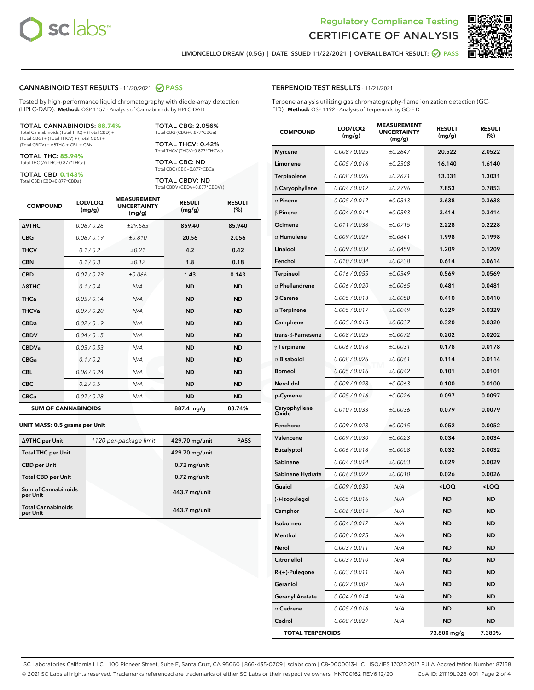



LIMONCELLO DREAM (0.5G) | DATE ISSUED 11/22/2021 | OVERALL BATCH RESULT: **●** PASS

#### CANNABINOID TEST RESULTS - 11/20/2021 2 PASS

Tested by high-performance liquid chromatography with diode-array detection (HPLC-DAD). **Method:** QSP 1157 - Analysis of Cannabinoids by HPLC-DAD

#### TOTAL CANNABINOIDS: **88.74%**

Total Cannabinoids (Total THC) + (Total CBD) + (Total CBG) + (Total THCV) + (Total CBC) + (Total CBDV) + ∆8THC + CBL + CBN

TOTAL THC: **85.94%** Total THC (∆9THC+0.877\*THCa)

TOTAL CBD: **0.143%**

Total CBD (CBD+0.877\*CBDa)

TOTAL CBG: 2.056% Total CBG (CBG+0.877\*CBGa)

TOTAL THCV: 0.42% Total THCV (THCV+0.877\*THCVa)

TOTAL CBC: ND Total CBC (CBC+0.877\*CBCa)

TOTAL CBDV: ND Total CBDV (CBDV+0.877\*CBDVa)

| <b>COMPOUND</b>  | LOD/LOQ<br>(mg/g)          | <b>MEASUREMENT</b><br><b>UNCERTAINTY</b><br>(mg/g) | <b>RESULT</b><br>(mg/g) | <b>RESULT</b><br>(%) |
|------------------|----------------------------|----------------------------------------------------|-------------------------|----------------------|
| <b>A9THC</b>     | 0.06 / 0.26                | ±29.563                                            | 859.40                  | 85.940               |
| <b>CBG</b>       | 0.06/0.19                  | ±0.810                                             | 20.56                   | 2.056                |
| <b>THCV</b>      | 0.1/0.2                    | ±0.21                                              | 4.2                     | 0.42                 |
| <b>CBN</b>       | 0.1/0.3                    | ±0.12                                              | 1.8                     | 0.18                 |
| <b>CBD</b>       | 0.07/0.29                  | ±0.066                                             | 1.43                    | 0.143                |
| $\triangle$ 8THC | 0.1 / 0.4                  | N/A                                                | <b>ND</b>               | <b>ND</b>            |
| <b>THCa</b>      | 0.05/0.14                  | N/A                                                | <b>ND</b>               | <b>ND</b>            |
| <b>THCVa</b>     | 0.07/0.20                  | N/A                                                | <b>ND</b>               | <b>ND</b>            |
| <b>CBDa</b>      | 0.02/0.19                  | N/A                                                | <b>ND</b>               | <b>ND</b>            |
| <b>CBDV</b>      | 0.04 / 0.15                | N/A                                                | <b>ND</b>               | <b>ND</b>            |
| <b>CBDVa</b>     | 0.03/0.53                  | N/A                                                | <b>ND</b>               | <b>ND</b>            |
| <b>CBGa</b>      | 0.1 / 0.2                  | N/A                                                | <b>ND</b>               | <b>ND</b>            |
| <b>CBL</b>       | 0.06 / 0.24                | N/A                                                | <b>ND</b>               | <b>ND</b>            |
| <b>CBC</b>       | 0.2 / 0.5                  | N/A                                                | <b>ND</b>               | <b>ND</b>            |
| <b>CBCa</b>      | 0.07 / 0.28                | N/A                                                | <b>ND</b>               | <b>ND</b>            |
|                  | <b>SUM OF CANNABINOIDS</b> |                                                    | 887.4 mg/g              | 88.74%               |

#### **UNIT MASS: 0.5 grams per Unit**

| ∆9THC per Unit                         | 1120 per-package limit | 429.70 mg/unit | <b>PASS</b> |
|----------------------------------------|------------------------|----------------|-------------|
| <b>Total THC per Unit</b>              |                        | 429.70 mg/unit |             |
| <b>CBD</b> per Unit                    |                        | $0.72$ mg/unit |             |
| <b>Total CBD per Unit</b>              |                        | $0.72$ mg/unit |             |
| <b>Sum of Cannabinoids</b><br>per Unit |                        | 443.7 mg/unit  |             |
| <b>Total Cannabinoids</b><br>per Unit  |                        | 443.7 mg/unit  |             |

#### TERPENOID TEST RESULTS - 11/21/2021

Terpene analysis utilizing gas chromatography-flame ionization detection (GC-FID). **Method:** QSP 1192 - Analysis of Terpenoids by GC-FID

| <b>COMPOUND</b>         | LOD/LOQ<br>(mg/g) | <b>MEASUREMENT</b><br><b>UNCERTAINTY</b><br>(mg/g) | <b>RESULT</b><br>(mg/g)                         | <b>RESULT</b><br>$(\%)$ |
|-------------------------|-------------------|----------------------------------------------------|-------------------------------------------------|-------------------------|
| <b>Myrcene</b>          | 0.008 / 0.025     | ±0.2647                                            | 20.522                                          | 2.0522                  |
| Limonene                | 0.005 / 0.016     | ±0.2308                                            | 16.140                                          | 1.6140                  |
| Terpinolene             | 0.008 / 0.026     | ±0.2671                                            | 13.031                                          | 1.3031                  |
| $\beta$ Caryophyllene   | 0.004 / 0.012     | ±0.2796                                            | 7.853                                           | 0.7853                  |
| $\alpha$ Pinene         | 0.005 / 0.017     | ±0.0313                                            | 3.638                                           | 0.3638                  |
| $\beta$ Pinene          | 0.004 / 0.014     | ±0.0393                                            | 3.414                                           | 0.3414                  |
| Ocimene                 | 0.011 / 0.038     | ±0.0715                                            | 2.228                                           | 0.2228                  |
| $\alpha$ Humulene       | 0.009 / 0.029     | ±0.0641                                            | 1.998                                           | 0.1998                  |
| Linalool                | 0.009 / 0.032     | ±0.0459                                            | 1.209                                           | 0.1209                  |
| Fenchol                 | 0.010 / 0.034     | ±0.0238                                            | 0.614                                           | 0.0614                  |
| <b>Terpineol</b>        | 0.016 / 0.055     | ±0.0349                                            | 0.569                                           | 0.0569                  |
| $\alpha$ Phellandrene   | 0.006 / 0.020     | ±0.0065                                            | 0.481                                           | 0.0481                  |
| 3 Carene                | 0.005 / 0.018     | ±0.0058                                            | 0.410                                           | 0.0410                  |
| $\alpha$ Terpinene      | 0.005 / 0.017     | ±0.0049                                            | 0.329                                           | 0.0329                  |
| Camphene                | 0.005 / 0.015     | ±0.0037                                            | 0.320                                           | 0.0320                  |
| trans-β-Farnesene       | 0.008 / 0.025     | ±0.0072                                            | 0.202                                           | 0.0202                  |
| $\gamma$ Terpinene      | 0.006 / 0.018     | ±0.0031                                            | 0.178                                           | 0.0178                  |
| $\alpha$ Bisabolol      | 0.008 / 0.026     | ±0.0061                                            | 0.114                                           | 0.0114                  |
| <b>Borneol</b>          | 0.005 / 0.016     | ±0.0042                                            | 0.101                                           | 0.0101                  |
| Nerolidol               | 0.009 / 0.028     | ±0.0063                                            | 0.100                                           | 0.0100                  |
| p-Cymene                | 0.005 / 0.016     | ±0.0026                                            | 0.097                                           | 0.0097                  |
| Caryophyllene<br>Oxide  | 0.010 / 0.033     | ±0.0036                                            | 0.079                                           | 0.0079                  |
| Fenchone                | 0.009 / 0.028     | ±0.0015                                            | 0.052                                           | 0.0052                  |
| Valencene               | 0.009 / 0.030     | ±0.0023                                            | 0.034                                           | 0.0034                  |
| Eucalyptol              | 0.006 / 0.018     | ±0.0008                                            | 0.032                                           | 0.0032                  |
| Sabinene                | 0.004 / 0.014     | ±0.0003                                            | 0.029                                           | 0.0029                  |
| Sabinene Hydrate        | 0.006 / 0.022     | ±0.0010                                            | 0.026                                           | 0.0026                  |
| Guaiol                  | 0.009 / 0.030     | N/A                                                | <loq< th=""><th><loq< th=""></loq<></th></loq<> | <loq< th=""></loq<>     |
| (-)-Isopulegol          | 0.005 / 0.016     | N/A                                                | ND                                              | <b>ND</b>               |
| Camphor                 | 0.006 / 0.019     | N/A                                                | ND                                              | ND                      |
| Isoborneol              | 0.004 / 0.012     | N/A                                                | ND                                              | ND                      |
| Menthol                 | 0.008 / 0.025     | N/A                                                | ND                                              | ND                      |
| Nerol                   | 0.003 / 0.011     | N/A                                                | ND                                              | ND                      |
| Citronellol             | 0.003 / 0.010     | N/A                                                | <b>ND</b>                                       | ND                      |
| R-(+)-Pulegone          | 0.003 / 0.011     | N/A                                                | ND                                              | ND                      |
| Geraniol                | 0.002 / 0.007     | N/A                                                | ND                                              | ND                      |
| <b>Geranyl Acetate</b>  | 0.004 / 0.014     | N/A                                                | <b>ND</b>                                       | ND                      |
| $\alpha$ Cedrene        | 0.005 / 0.016     | N/A                                                | ND                                              | ND                      |
| Cedrol                  | 0.008 / 0.027     | N/A                                                | ND                                              | ND                      |
| <b>TOTAL TERPENOIDS</b> |                   |                                                    | 73.800 mg/g                                     | 7.380%                  |

SC Laboratories California LLC. | 100 Pioneer Street, Suite E, Santa Cruz, CA 95060 | 866-435-0709 | sclabs.com | C8-0000013-LIC | ISO/IES 17025:2017 PJLA Accreditation Number 87168 © 2021 SC Labs all rights reserved. Trademarks referenced are trademarks of either SC Labs or their respective owners. MKT00162 REV6 12/20 CoA ID: 211119L028-001 Page 2 of 4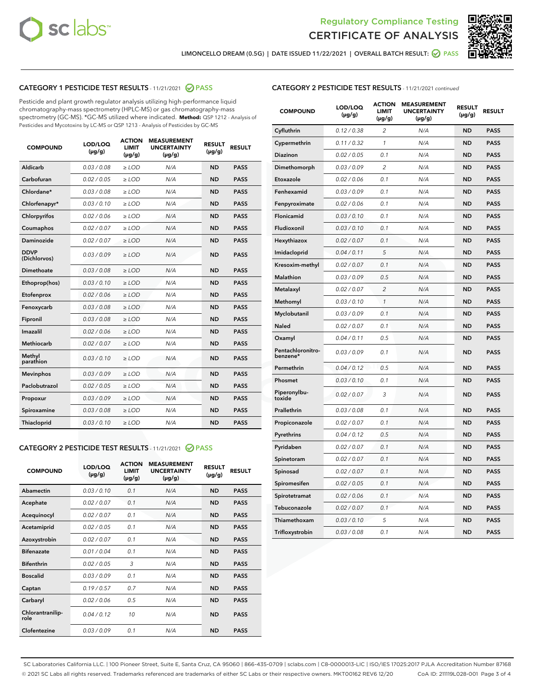



LIMONCELLO DREAM (0.5G) | DATE ISSUED 11/22/2021 | OVERALL BATCH RESULT:  $\bigotimes$  PASS

# CATEGORY 1 PESTICIDE TEST RESULTS - 11/21/2021 2 PASS

Pesticide and plant growth regulator analysis utilizing high-performance liquid chromatography-mass spectrometry (HPLC-MS) or gas chromatography-mass spectrometry (GC-MS). \*GC-MS utilized where indicated. **Method:** QSP 1212 - Analysis of Pesticides and Mycotoxins by LC-MS or QSP 1213 - Analysis of Pesticides by GC-MS

| <b>Aldicarb</b><br>0.03 / 0.08<br><b>ND</b><br>$\ge$ LOD<br>N/A<br><b>PASS</b><br>Carbofuran<br>0.02/0.05<br>$\ge$ LOD<br>N/A<br><b>ND</b><br><b>PASS</b><br>Chlordane*<br>0.03 / 0.08<br><b>ND</b><br>$>$ LOD<br>N/A<br><b>PASS</b><br>0.03/0.10<br><b>ND</b><br><b>PASS</b><br>Chlorfenapyr*<br>$\ge$ LOD<br>N/A<br>0.02 / 0.06<br>N/A<br><b>ND</b><br><b>PASS</b><br>Chlorpyrifos<br>$\ge$ LOD<br>0.02 / 0.07<br>N/A<br><b>ND</b><br><b>PASS</b><br>Coumaphos<br>$>$ LOD<br>Daminozide<br>0.02 / 0.07<br>$\ge$ LOD<br>N/A<br><b>ND</b><br><b>PASS</b><br><b>DDVP</b><br>0.03/0.09<br>$\ge$ LOD<br>N/A<br><b>ND</b><br><b>PASS</b><br>(Dichlorvos)<br>Dimethoate<br><b>ND</b><br><b>PASS</b><br>0.03 / 0.08<br>$>$ LOD<br>N/A<br>0.03/0.10<br>Ethoprop(hos)<br>$\ge$ LOD<br>N/A<br><b>ND</b><br><b>PASS</b><br>0.02 / 0.06<br>$\ge$ LOD<br>N/A<br><b>ND</b><br><b>PASS</b><br>Etofenprox<br>Fenoxycarb<br>0.03 / 0.08<br>$>$ LOD<br>N/A<br><b>ND</b><br><b>PASS</b><br>0.03 / 0.08<br><b>ND</b><br><b>PASS</b><br>Fipronil<br>$\ge$ LOD<br>N/A<br>Imazalil<br>0.02 / 0.06<br>$>$ LOD<br>N/A<br><b>ND</b><br><b>PASS</b><br>0.02 / 0.07<br>Methiocarb<br>N/A<br><b>ND</b><br>$>$ LOD<br><b>PASS</b><br>Methyl<br>0.03/0.10<br>$\ge$ LOD<br>N/A<br><b>ND</b><br><b>PASS</b><br>parathion<br>0.03/0.09<br>$\ge$ LOD<br>N/A<br><b>ND</b><br><b>PASS</b><br><b>Mevinphos</b><br>Paclobutrazol<br>0.02 / 0.05<br>$\ge$ LOD<br>N/A<br><b>ND</b><br><b>PASS</b><br>0.03/0.09<br>N/A<br>$\ge$ LOD<br><b>ND</b><br><b>PASS</b><br>Propoxur<br>0.03 / 0.08<br><b>ND</b><br><b>PASS</b><br>Spiroxamine<br>$\ge$ LOD<br>N/A<br><b>PASS</b><br>Thiacloprid<br>0.03/0.10<br>$\ge$ LOD<br>N/A<br><b>ND</b> | <b>COMPOUND</b> | LOD/LOQ<br>$(\mu g/g)$ | <b>ACTION</b><br>LIMIT<br>$(\mu g/g)$ | <b>MEASUREMENT</b><br><b>UNCERTAINTY</b><br>$(\mu g/g)$ | <b>RESULT</b><br>$(\mu g/g)$ | <b>RESULT</b> |
|----------------------------------------------------------------------------------------------------------------------------------------------------------------------------------------------------------------------------------------------------------------------------------------------------------------------------------------------------------------------------------------------------------------------------------------------------------------------------------------------------------------------------------------------------------------------------------------------------------------------------------------------------------------------------------------------------------------------------------------------------------------------------------------------------------------------------------------------------------------------------------------------------------------------------------------------------------------------------------------------------------------------------------------------------------------------------------------------------------------------------------------------------------------------------------------------------------------------------------------------------------------------------------------------------------------------------------------------------------------------------------------------------------------------------------------------------------------------------------------------------------------------------------------------------------------------------------------------------------------------------------------------------------------------------------------------|-----------------|------------------------|---------------------------------------|---------------------------------------------------------|------------------------------|---------------|
|                                                                                                                                                                                                                                                                                                                                                                                                                                                                                                                                                                                                                                                                                                                                                                                                                                                                                                                                                                                                                                                                                                                                                                                                                                                                                                                                                                                                                                                                                                                                                                                                                                                                                              |                 |                        |                                       |                                                         |                              |               |
|                                                                                                                                                                                                                                                                                                                                                                                                                                                                                                                                                                                                                                                                                                                                                                                                                                                                                                                                                                                                                                                                                                                                                                                                                                                                                                                                                                                                                                                                                                                                                                                                                                                                                              |                 |                        |                                       |                                                         |                              |               |
|                                                                                                                                                                                                                                                                                                                                                                                                                                                                                                                                                                                                                                                                                                                                                                                                                                                                                                                                                                                                                                                                                                                                                                                                                                                                                                                                                                                                                                                                                                                                                                                                                                                                                              |                 |                        |                                       |                                                         |                              |               |
|                                                                                                                                                                                                                                                                                                                                                                                                                                                                                                                                                                                                                                                                                                                                                                                                                                                                                                                                                                                                                                                                                                                                                                                                                                                                                                                                                                                                                                                                                                                                                                                                                                                                                              |                 |                        |                                       |                                                         |                              |               |
|                                                                                                                                                                                                                                                                                                                                                                                                                                                                                                                                                                                                                                                                                                                                                                                                                                                                                                                                                                                                                                                                                                                                                                                                                                                                                                                                                                                                                                                                                                                                                                                                                                                                                              |                 |                        |                                       |                                                         |                              |               |
|                                                                                                                                                                                                                                                                                                                                                                                                                                                                                                                                                                                                                                                                                                                                                                                                                                                                                                                                                                                                                                                                                                                                                                                                                                                                                                                                                                                                                                                                                                                                                                                                                                                                                              |                 |                        |                                       |                                                         |                              |               |
|                                                                                                                                                                                                                                                                                                                                                                                                                                                                                                                                                                                                                                                                                                                                                                                                                                                                                                                                                                                                                                                                                                                                                                                                                                                                                                                                                                                                                                                                                                                                                                                                                                                                                              |                 |                        |                                       |                                                         |                              |               |
|                                                                                                                                                                                                                                                                                                                                                                                                                                                                                                                                                                                                                                                                                                                                                                                                                                                                                                                                                                                                                                                                                                                                                                                                                                                                                                                                                                                                                                                                                                                                                                                                                                                                                              |                 |                        |                                       |                                                         |                              |               |
|                                                                                                                                                                                                                                                                                                                                                                                                                                                                                                                                                                                                                                                                                                                                                                                                                                                                                                                                                                                                                                                                                                                                                                                                                                                                                                                                                                                                                                                                                                                                                                                                                                                                                              |                 |                        |                                       |                                                         |                              |               |
|                                                                                                                                                                                                                                                                                                                                                                                                                                                                                                                                                                                                                                                                                                                                                                                                                                                                                                                                                                                                                                                                                                                                                                                                                                                                                                                                                                                                                                                                                                                                                                                                                                                                                              |                 |                        |                                       |                                                         |                              |               |
|                                                                                                                                                                                                                                                                                                                                                                                                                                                                                                                                                                                                                                                                                                                                                                                                                                                                                                                                                                                                                                                                                                                                                                                                                                                                                                                                                                                                                                                                                                                                                                                                                                                                                              |                 |                        |                                       |                                                         |                              |               |
|                                                                                                                                                                                                                                                                                                                                                                                                                                                                                                                                                                                                                                                                                                                                                                                                                                                                                                                                                                                                                                                                                                                                                                                                                                                                                                                                                                                                                                                                                                                                                                                                                                                                                              |                 |                        |                                       |                                                         |                              |               |
|                                                                                                                                                                                                                                                                                                                                                                                                                                                                                                                                                                                                                                                                                                                                                                                                                                                                                                                                                                                                                                                                                                                                                                                                                                                                                                                                                                                                                                                                                                                                                                                                                                                                                              |                 |                        |                                       |                                                         |                              |               |
|                                                                                                                                                                                                                                                                                                                                                                                                                                                                                                                                                                                                                                                                                                                                                                                                                                                                                                                                                                                                                                                                                                                                                                                                                                                                                                                                                                                                                                                                                                                                                                                                                                                                                              |                 |                        |                                       |                                                         |                              |               |
|                                                                                                                                                                                                                                                                                                                                                                                                                                                                                                                                                                                                                                                                                                                                                                                                                                                                                                                                                                                                                                                                                                                                                                                                                                                                                                                                                                                                                                                                                                                                                                                                                                                                                              |                 |                        |                                       |                                                         |                              |               |
|                                                                                                                                                                                                                                                                                                                                                                                                                                                                                                                                                                                                                                                                                                                                                                                                                                                                                                                                                                                                                                                                                                                                                                                                                                                                                                                                                                                                                                                                                                                                                                                                                                                                                              |                 |                        |                                       |                                                         |                              |               |
|                                                                                                                                                                                                                                                                                                                                                                                                                                                                                                                                                                                                                                                                                                                                                                                                                                                                                                                                                                                                                                                                                                                                                                                                                                                                                                                                                                                                                                                                                                                                                                                                                                                                                              |                 |                        |                                       |                                                         |                              |               |
|                                                                                                                                                                                                                                                                                                                                                                                                                                                                                                                                                                                                                                                                                                                                                                                                                                                                                                                                                                                                                                                                                                                                                                                                                                                                                                                                                                                                                                                                                                                                                                                                                                                                                              |                 |                        |                                       |                                                         |                              |               |
|                                                                                                                                                                                                                                                                                                                                                                                                                                                                                                                                                                                                                                                                                                                                                                                                                                                                                                                                                                                                                                                                                                                                                                                                                                                                                                                                                                                                                                                                                                                                                                                                                                                                                              |                 |                        |                                       |                                                         |                              |               |
|                                                                                                                                                                                                                                                                                                                                                                                                                                                                                                                                                                                                                                                                                                                                                                                                                                                                                                                                                                                                                                                                                                                                                                                                                                                                                                                                                                                                                                                                                                                                                                                                                                                                                              |                 |                        |                                       |                                                         |                              |               |
|                                                                                                                                                                                                                                                                                                                                                                                                                                                                                                                                                                                                                                                                                                                                                                                                                                                                                                                                                                                                                                                                                                                                                                                                                                                                                                                                                                                                                                                                                                                                                                                                                                                                                              |                 |                        |                                       |                                                         |                              |               |

#### CATEGORY 2 PESTICIDE TEST RESULTS - 11/21/2021 @ PASS

| <b>COMPOUND</b>          | LOD/LOO<br>$(\mu g/g)$ | <b>ACTION</b><br>LIMIT<br>$(\mu g/g)$ | <b>MEASUREMENT</b><br><b>UNCERTAINTY</b><br>$(\mu g/g)$ | <b>RESULT</b><br>$(\mu g/g)$ | <b>RESULT</b> |  |
|--------------------------|------------------------|---------------------------------------|---------------------------------------------------------|------------------------------|---------------|--|
| Abamectin                | 0.03/0.10              | 0.1                                   | N/A                                                     | <b>ND</b>                    | <b>PASS</b>   |  |
| Acephate                 | 0.02/0.07              | 0.1                                   | N/A                                                     | <b>ND</b>                    | <b>PASS</b>   |  |
| Acequinocyl              | 0.02/0.07              | 0.1                                   | N/A                                                     | <b>ND</b>                    | <b>PASS</b>   |  |
| Acetamiprid              | 0.02 / 0.05            | 0.1                                   | N/A                                                     | <b>ND</b>                    | <b>PASS</b>   |  |
| Azoxystrobin             | 0.02/0.07              | 0.1                                   | N/A                                                     | <b>ND</b>                    | <b>PASS</b>   |  |
| <b>Bifenazate</b>        | 0.01 / 0.04            | 0.1                                   | N/A                                                     | <b>ND</b>                    | <b>PASS</b>   |  |
| <b>Bifenthrin</b>        | 0.02 / 0.05            | 3                                     | N/A                                                     | <b>ND</b>                    | <b>PASS</b>   |  |
| <b>Boscalid</b>          | 0.03/0.09              | 0.1                                   | N/A                                                     | <b>ND</b>                    | <b>PASS</b>   |  |
| Captan                   | 0.19/0.57              | 0.7                                   | N/A                                                     | <b>ND</b>                    | <b>PASS</b>   |  |
| Carbaryl                 | 0.02/0.06              | 0.5                                   | N/A                                                     | <b>ND</b>                    | <b>PASS</b>   |  |
| Chlorantranilip-<br>role | 0.04/0.12              | 10                                    | N/A                                                     | <b>ND</b>                    | <b>PASS</b>   |  |
| Clofentezine             | 0.03/0.09              | 0.1                                   | N/A                                                     | <b>ND</b>                    | <b>PASS</b>   |  |

# CATEGORY 2 PESTICIDE TEST RESULTS - 11/21/2021 continued

| <b>COMPOUND</b>               | LOD/LOQ<br>(µg/g) | <b>ACTION</b><br><b>LIMIT</b><br>$(\mu g/g)$ | <b>MEASUREMENT</b><br><b>UNCERTAINTY</b><br>(µg/g) | <b>RESULT</b><br>$(\mu g/g)$ | <b>RESULT</b> |
|-------------------------------|-------------------|----------------------------------------------|----------------------------------------------------|------------------------------|---------------|
| Cyfluthrin                    | 0.12 / 0.38       | $\overline{c}$                               | N/A                                                | <b>ND</b>                    | <b>PASS</b>   |
| Cypermethrin                  | 0.11 / 0.32       | 1                                            | N/A                                                | <b>ND</b>                    | <b>PASS</b>   |
| <b>Diazinon</b>               | 0.02 / 0.05       | 0.1                                          | N/A                                                | <b>ND</b>                    | <b>PASS</b>   |
| Dimethomorph                  | 0.03 / 0.09       | 2                                            | N/A                                                | <b>ND</b>                    | <b>PASS</b>   |
| Etoxazole                     | 0.02 / 0.06       | 0.1                                          | N/A                                                | <b>ND</b>                    | <b>PASS</b>   |
| Fenhexamid                    | 0.03 / 0.09       | 0.1                                          | N/A                                                | <b>ND</b>                    | <b>PASS</b>   |
| Fenpyroximate                 | 0.02 / 0.06       | 0.1                                          | N/A                                                | <b>ND</b>                    | <b>PASS</b>   |
| Flonicamid                    | 0.03 / 0.10       | 0.1                                          | N/A                                                | <b>ND</b>                    | <b>PASS</b>   |
| Fludioxonil                   | 0.03 / 0.10       | 0.1                                          | N/A                                                | <b>ND</b>                    | <b>PASS</b>   |
| Hexythiazox                   | 0.02 / 0.07       | 0.1                                          | N/A                                                | <b>ND</b>                    | <b>PASS</b>   |
| Imidacloprid                  | 0.04 / 0.11       | 5                                            | N/A                                                | <b>ND</b>                    | <b>PASS</b>   |
| Kresoxim-methyl               | 0.02 / 0.07       | 0.1                                          | N/A                                                | <b>ND</b>                    | <b>PASS</b>   |
| Malathion                     | 0.03 / 0.09       | 0.5                                          | N/A                                                | <b>ND</b>                    | <b>PASS</b>   |
| Metalaxyl                     | 0.02 / 0.07       | $\overline{c}$                               | N/A                                                | <b>ND</b>                    | <b>PASS</b>   |
| Methomyl                      | 0.03 / 0.10       | $\mathcal{I}$                                | N/A                                                | <b>ND</b>                    | <b>PASS</b>   |
| Myclobutanil                  | 0.03 / 0.09       | 0.1                                          | N/A                                                | <b>ND</b>                    | <b>PASS</b>   |
| Naled                         | 0.02 / 0.07       | 0.1                                          | N/A                                                | <b>ND</b>                    | <b>PASS</b>   |
| Oxamyl                        | 0.04 / 0.11       | 0.5                                          | N/A                                                | ND                           | <b>PASS</b>   |
| Pentachloronitro-<br>benzene* | 0.03 / 0.09       | 0.1                                          | N/A                                                | <b>ND</b>                    | <b>PASS</b>   |
| Permethrin                    | 0.04 / 0.12       | 0.5                                          | N/A                                                | <b>ND</b>                    | <b>PASS</b>   |
| Phosmet                       | 0.03 / 0.10       | 0.1                                          | N/A                                                | <b>ND</b>                    | <b>PASS</b>   |
| Piperonylbu-<br>toxide        | 0.02 / 0.07       | 3                                            | N/A                                                | <b>ND</b>                    | <b>PASS</b>   |
| Prallethrin                   | 0.03 / 0.08       | 0.1                                          | N/A                                                | <b>ND</b>                    | <b>PASS</b>   |
| Propiconazole                 | 0.02 / 0.07       | 0.1                                          | N/A                                                | <b>ND</b>                    | <b>PASS</b>   |
| Pyrethrins                    | 0.04 / 0.12       | 0.5                                          | N/A                                                | <b>ND</b>                    | <b>PASS</b>   |
| Pyridaben                     | 0.02 / 0.07       | 0.1                                          | N/A                                                | <b>ND</b>                    | <b>PASS</b>   |
| Spinetoram                    | 0.02 / 0.07       | 0.1                                          | N/A                                                | <b>ND</b>                    | <b>PASS</b>   |
| Spinosad                      | 0.02 / 0.07       | 0.1                                          | N/A                                                | <b>ND</b>                    | <b>PASS</b>   |
| Spiromesifen                  | 0.02 / 0.05       | 0.1                                          | N/A                                                | <b>ND</b>                    | <b>PASS</b>   |
| Spirotetramat                 | 0.02 / 0.06       | 0.1                                          | N/A                                                | <b>ND</b>                    | <b>PASS</b>   |
| Tebuconazole                  | 0.02 / 0.07       | 0.1                                          | N/A                                                | <b>ND</b>                    | <b>PASS</b>   |
| Thiamethoxam                  | 0.03 / 0.10       | 5                                            | N/A                                                | <b>ND</b>                    | <b>PASS</b>   |
| Trifloxystrobin               | 0.03 / 0.08       | 0.1                                          | N/A                                                | <b>ND</b>                    | <b>PASS</b>   |

SC Laboratories California LLC. | 100 Pioneer Street, Suite E, Santa Cruz, CA 95060 | 866-435-0709 | sclabs.com | C8-0000013-LIC | ISO/IES 17025:2017 PJLA Accreditation Number 87168 © 2021 SC Labs all rights reserved. Trademarks referenced are trademarks of either SC Labs or their respective owners. MKT00162 REV6 12/20 CoA ID: 211119L028-001 Page 3 of 4